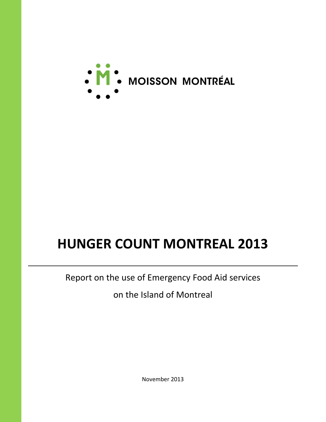

# **HUNGER COUNT MONTREAL 2013**

Report on the use of Emergency Food Aid services

on the Island of Montreal

November 2013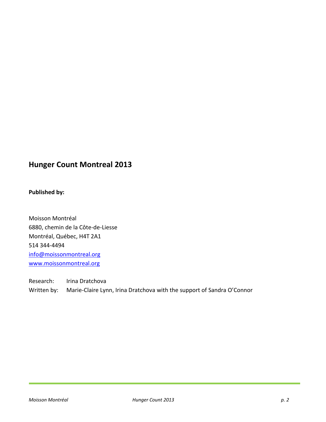# **Hunger Count Montreal 2013**

### **Published by:**

Moisson Montréal 6880, chemin de la Côte-de-Liesse Montréal, Québec, H4T 2A1 514 344-4494 [info@moissonmontreal.org](mailto:info@moissonmontreal.org) [www.moissonmontreal.org](http://www.moissonmontreal.org/)

Research: Irina Dratchova Written by: Marie-Claire Lynn, Irina Dratchova with the support of Sandra O'Connor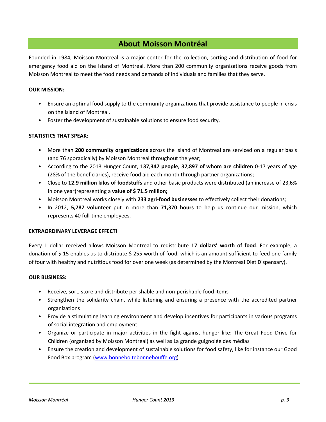# **About Moisson Montréal**

Founded in 1984, Moisson Montreal is a major center for the collection, sorting and distribution of food for emergency food aid on the Island of Montreal. More than 200 community organizations receive goods from Moisson Montreal to meet the food needs and demands of individuals and families that they serve.

#### **OUR MISSION:**

- Ensure an optimal food supply to the community organizations that provide assistance to people in crisis on the Island of Montréal.
- Foster the development of sustainable solutions to ensure food security.

#### **STATISTICS THAT SPEAK:**

- More than **200 community organizations** across the Island of Montreal are serviced on a regular basis (and 76 sporadically) by Moisson Montreal throughout the year;
- According to the 2013 Hunger Count, **137,347 people, 37,897 of whom are children** 0-17 years of age (28% of the beneficiaries), receive food aid each month through partner organizations;
- Close to **12.9 million kilos of foodstuffs** and other basic products were distributed (an increase of 23,6% in one year)representing a **value of \$ 71.5 million;**
- Moisson Montreal works closely with **233 agri-food businesses** to effectively collect their donations;
- In 2012, **5,787 volunteer** put in more than **71,370 hours** to help us continue our mission, which represents 40 full-time employees.

#### **EXTRAORDINARY LEVERAGE EFFECT!**

Every 1 dollar received allows Moisson Montreal to redistribute **17 dollars' worth of food**. For example, a donation of \$ 15 enables us to distribute \$ 255 worth of food, which is an amount sufficient to feed one family of four with healthy and nutritious food for over one week (as determined by the Montreal Diet Dispensary).

#### **OUR BUSINESS:**

- Receive, sort, store and distribute perishable and non-perishable food items
- Strengthen the solidarity chain, while listening and ensuring a presence with the accredited partner organizations
- Provide a stimulating learning environment and develop incentives for participants in various programs of social integration and employment
- Organize or participate in major activities in the fight against hunger like: The Great Food Drive for Children (organized by Moisson Montreal) as well as La grande guignolée des médias
- Ensure the creation and development of sustainable solutions for food safety, like for instance our Good Food Box program [\(www.bonneboitebonnebouffe.org\)](http://www.bonneboitebonnebouffe.org/)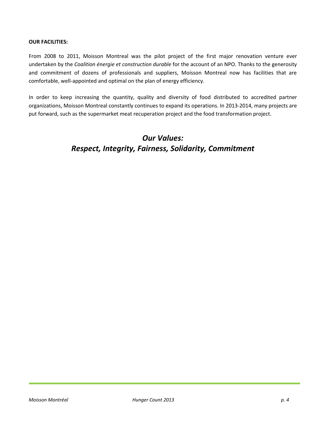#### **OUR FACILITIES:**

From 2008 to 2011, Moisson Montreal was the pilot project of the first major renovation venture ever undertaken by the *Coalition énergie et construction durable* for the account of an NPO. Thanks to the generosity and commitment of dozens of professionals and suppliers, Moisson Montreal now has facilities that are comfortable, well-appointed and optimal on the plan of energy efficiency.

In order to keep increasing the quantity, quality and diversity of food distributed to accredited partner organizations, Moisson Montreal constantly continues to expand its operations. In 2013-2014, many projects are put forward, such as the supermarket meat recuperation project and the food transformation project.

# *Our Values: Respect, Integrity, Fairness, Solidarity, Commitment*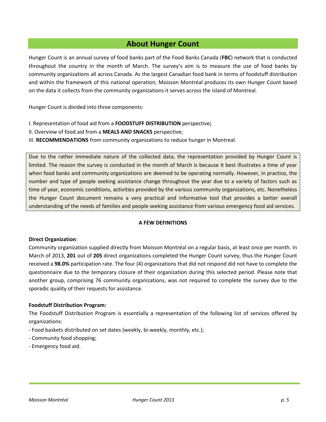# **About Hunger Count**

Hunger Count is an annual survey of food banks part of the Food Banks Canada (**FBC**) network that is conducted throughout the country in the month of March. The survey's aim is to measure the use of food banks by community organizations all across Canada. As the largest Canadian food bank in terms of foodstuff distribution and within the framework of this national operation, Moisson Montréal produces its own Hunger Count based on the data it collects from the community organizations it serves across the island of Montreal.

Hunger Count is divided into three components:

- I. Representation of food aid from a **FOODSTUFF DISTRIBUTION** perspective**;**
- II. Overview of food aid from a **MEALS AND SNACKS** perspective;
- III. **RECOMMENDATIONS** from community organizations to reduce hunger in Montreal.

Due to the rather immediate nature of the collected data, the representation provided by Hunger Count is limited. The reason the survey is conducted in the month of March is because it best illustrates a time of year when food banks and community organizations are deemed to be operating normally. However, in practice, the number and type of people seeking assistance change throughout the year due to a variety of factors such as time of year, economic conditions, activities provided by the various community organizations, etc. Nonetheless the Hunger Count document remains a very practical and informative tool that provides a better overall understanding of the needs of families and people seeking assistance from various emergency food aid services.

#### **A FEW DEFINITIONS**

#### **Direct Organization**:

Community organization supplied directly from Moisson Montréal on a regular basis, at least once per month. In March of 2013, **201** out of **205** direct organizations completed the Hunger Count survey, thus the Hunger Count received a **98.0%** participation rate. The four (4) organizations that did not respond did not have to complete the questionnaire due to the temporary closure of their organization during this selected period. Please note that another group, comprising 76 community organizations, was not required to complete the survey due to the sporadic quality of their requests for assistance.

#### **Foodstuff Distribution Program:**

The Foodstuff Distribution Program is essentially a representation of the following list of services offered by organizations:

- Food baskets distributed on set dates (weekly, bi-weekly, monthly, etc.);
- Community food shopping;
- Emergency food aid.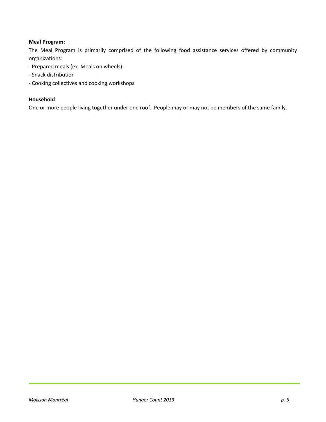#### **Meal Program:**

The Meal Program is primarily comprised of the following food assistance services offered by community organizations:

- Prepared meals (ex. Meals on wheels)
- Snack distribution
- Cooking collectives and cooking workshops

#### **Household**:

One or more people living together under one roof. People may or may not be members of the same family.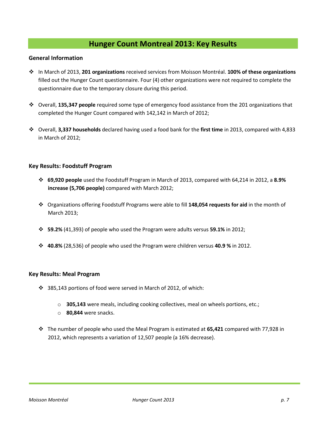# **Hunger Count Montreal 2013: Key Results**

#### **General Information**

- In March of 2013, **201 organizations** received services from Moisson Montréal. **100% of these organizations** filled out the Hunger Count questionnaire. Four (4) other organizations were not required to complete the questionnaire due to the temporary closure during this period.
- Overall, **135,347 people** required some type of emergency food assistance from the 201 organizations that completed the Hunger Count compared with 142,142 in March of 2012;
- Overall, **3,337 households** declared having used a food bank for the **first time** in 2013, compared with 4,833 in March of 2012;

#### **Key Results: Foodstuff Program**

- **69,920 people** used the Foodstuff Program in March of 2013, compared with 64,214 in 2012, a **8.9% increase (5,706 people)** compared with March 2012;
- Organizations offering Foodstuff Programs were able to fill **148,054 requests for aid** in the month of March 2013;
- **59.2%** (41,393) of people who used the Program were adults versus **59.1%** in 2012;
- **40.8%** (28,536) of people who used the Program were children versus **40.9 %** in 2012.

#### **Key Results: Meal Program**

- 385,143 portions of food were served in March of 2012, of which:
	- o **305,143** were meals, including cooking collectives, meal on wheels portions, etc.;
	- o **80,844** were snacks.
- The number of people who used the Meal Program is estimated at **65,421** compared with 77,928 in 2012, which represents a variation of 12,507 people (a 16% decrease).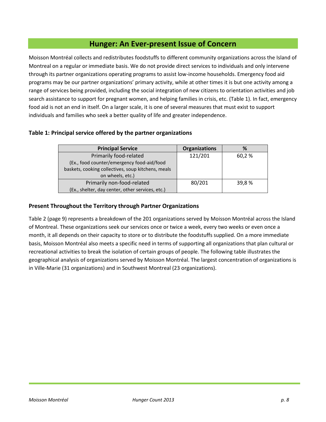# **Hunger: An Ever-present Issue of Concern**

Moisson Montréal collects and redistributes foodstuffs to different community organizations across the Island of Montreal on a regular or immediate basis. We do not provide direct services to individuals and only intervene through its partner organizations operating programs to assist low-income households. Emergency food aid programs may be our partner organizations' primary activity, while at other times it is but one activity among a range of services being provided, including the social integration of new citizens to orientation activities and job search assistance to support for pregnant women, and helping families in crisis, etc. (Table 1). In fact, emergency food aid is not an end in itself. On a larger scale, it is one of several measures that must exist to support individuals and families who seek a better quality of life and greater independence.

#### **Table 1: Principal service offered by the partner organizations**

| <b>Principal Service</b>                           | <b>Organizations</b> | %      |
|----------------------------------------------------|----------------------|--------|
| Primarily food-related                             | 121/201              | 60,2 % |
| (Ex., food counter/emergency food-aid/food         |                      |        |
| baskets, cooking collectives, soup kitchens, meals |                      |        |
| on wheels, etc.)                                   |                      |        |
| Primarily non-food-related                         | 80/201               | 39,8 % |
| (Ex., shelter, day center, other services, etc.)   |                      |        |

#### **Present Throughout the Territory through Partner Organizations**

Table 2 (page 9) represents a breakdown of the 201 organizations served by Moisson Montréal across the Island of Montreal. These organizations seek our services once or twice a week, every two weeks or even once a month, it all depends on their capacity to store or to distribute the foodstuffs supplied. On a more immediate basis, Moisson Montréal also meets a specific need in terms of supporting all organizations that plan cultural or recreational activities to break the isolation of certain groups of people. The following table illustrates the geographical analysis of organizations served by Moisson Montréal. The largest concentration of organizations is in Ville-Marie (31 organizations) and in Southwest Montreal (23 organizations).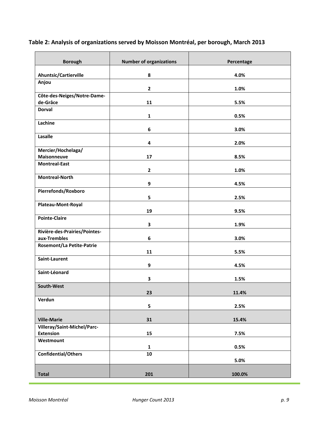| <b>Borough</b>                                  | <b>Number of organizations</b> | Percentage |
|-------------------------------------------------|--------------------------------|------------|
| Ahuntsic/Cartierville                           | 8                              | 4.0%       |
| Anjou                                           | $\overline{2}$                 | 1.0%       |
| Côte-des-Neiges/Notre-Dame-                     |                                |            |
| de-Grâce                                        | 11                             | 5.5%       |
| <b>Dorval</b>                                   | $\mathbf{1}$                   | 0.5%       |
| Lachine                                         | 6                              | 3.0%       |
| Lasalle                                         | 4                              | 2.0%       |
| Mercier/Hochelaga/                              |                                |            |
| Maisonneuve                                     | 17                             | 8.5%       |
| <b>Montreal-East</b>                            | $\mathbf{2}$                   | 1.0%       |
| <b>Montreal-North</b>                           | 9                              | 4.5%       |
| Pierrefonds/Roxboro                             | 5                              | 2.5%       |
| Plateau-Mont-Royal                              | 19                             | 9.5%       |
| <b>Pointe-Claire</b>                            | $\mathbf{3}$                   | 1.9%       |
| Rivière-des-Prairies/Pointes-                   |                                |            |
| aux-Trembles                                    | $\boldsymbol{6}$               | 3.0%       |
| <b>Rosemont/La Petite-Patrie</b>                | 11                             | 5.5%       |
| Saint-Laurent                                   | 9                              | 4.5%       |
| Saint-Léonard                                   | 3                              | 1.5%       |
| South-West                                      | 23                             | 11.4%      |
| Verdun                                          | 5                              | 2.5%       |
| <b>Ville-Marie</b>                              | 31                             | 15.4%      |
| Villeray/Saint-Michel/Parc-<br><b>Extension</b> | 15                             | 7.5%       |
| Westmount                                       |                                |            |
|                                                 | $\mathbf{1}$                   | 0.5%       |
| <b>Confidential/Others</b>                      | ${\bf 10}$                     | 5.0%       |
| <b>Total</b>                                    | 201                            | 100.0%     |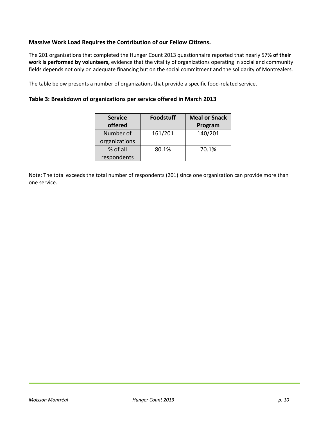#### **Massive Work Load Requires the Contribution of our Fellow Citizens.**

The 201 organizations that completed the Hunger Count 2013 questionnaire reported that nearly 57**% of their work is performed by volunteers,** evidence that the vitality of organizations operating in social and community fields depends not only on adequate financing but on the social commitment and the solidarity of Montrealers.

The table below presents a number of organizations that provide a specific food-related service.

#### **Table 3: Breakdown of organizations per service offered in March 2013**

| <b>Service</b> | <b>Foodstuff</b> | <b>Meal or Snack</b> |
|----------------|------------------|----------------------|
| offered        |                  | Program              |
| Number of      | 161/201          | 140/201              |
| organizations  |                  |                      |
| % of all       | 80.1%            | 70.1%                |
| respondents    |                  |                      |

Note: The total exceeds the total number of respondents (201) since one organization can provide more than one service.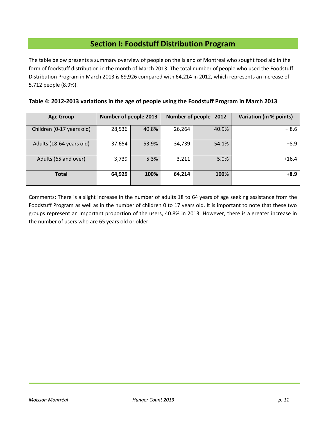# **Section I: Foodstuff Distribution Program**

The table below presents a summary overview of people on the Island of Montreal who sought food aid in the form of foodstuff distribution in the month of March 2013. The total number of people who used the Foodstuff Distribution Program in March 2013 is 69,926 compared with 64,214 in 2012, which represents an increase of 5,712 people (8.9%).

| <b>Age Group</b>          | Number of people 2013 |       |        | Number of people 2012 | Variation (in % points) |
|---------------------------|-----------------------|-------|--------|-----------------------|-------------------------|
| Children (0-17 years old) | 28,536                | 40.8% | 26,264 | 40.9%                 | $+8.6$                  |
| Adults (18-64 years old)  | 37,654                | 53.9% | 34,739 | 54.1%                 | $+8.9$                  |
| Adults (65 and over)      | 3,739                 | 5.3%  | 3,211  | 5.0%                  | $+16.4$                 |
| <b>Total</b>              | 64,929                | 100%  | 64,214 | 100%                  | $+8.9$                  |

**Table 4: 2012-2013 variations in the age of people using the Foodstuff Program in March 2013**

Comments: There is a slight increase in the number of adults 18 to 64 years of age seeking assistance from the Foodstuff Program as well as in the number of children 0 to 17 years old. It is important to note that these two groups represent an important proportion of the users, 40.8% in 2013. However, there is a greater increase in the number of users who are 65 years old or older.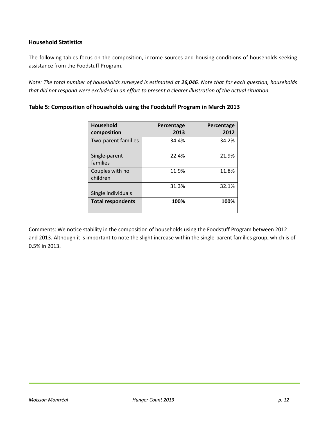#### **Household Statistics**

The following tables focus on the composition, income sources and housing conditions of households seeking assistance from the Foodstuff Program.

*Note: The total number of households surveyed is estimated at 26,046. Note that for each question, households that did not respond were excluded in an effort to present a clearer illustration of the actual situation.* 

| <b>Household</b><br>composition | Percentage<br>2013 | Percentage<br>2012 |
|---------------------------------|--------------------|--------------------|
| Two-parent families             | 34.4%              | 34.2%              |
| Single-parent<br>families       | 22.4%              | 21.9%              |
| Couples with no<br>children     | 11.9%              | 11.8%              |
| Single individuals              | 31.3%              | 32.1%              |
| <b>Total respondents</b>        | 100%               | 100%               |

#### **Table 5: Composition of households using the Foodstuff Program in March 2013**

Comments: We notice stability in the composition of households using the Foodstuff Program between 2012 and 2013. Although it is important to note the slight increase within the single-parent families group, which is of 0.5% in 2013.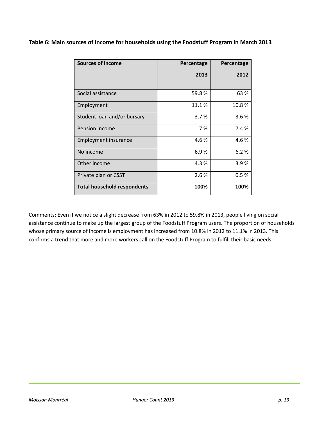**Table 6: Main sources of income for households using the Foodstuff Program in March 2013**

| <b>Sources of income</b>           | Percentage | Percentage |
|------------------------------------|------------|------------|
|                                    | 2013       | 2012       |
|                                    |            |            |
| Social assistance                  | 59.8%      | 63%        |
| Employment                         | 11.1%      | 10.8%      |
| Student loan and/or bursary        | 3.7%       | 3.6%       |
| Pension income                     | 7 %        | 7.4 %      |
| <b>Employment insurance</b>        | 4.6%       | 4.6%       |
| No income                          | 6.9%       | 6.2%       |
| Other income                       | 4.3%       | 3.9%       |
| Private plan or CSST               | 2.6 %      | 0.5%       |
| <b>Total household respondents</b> | 100%       | 100%       |

Comments: Even if we notice a slight decrease from 63% in 2012 to 59.8% in 2013, people living on social assistance continue to make up the largest group of the Foodstuff Program users. The proportion of households whose primary source of income is employment has increased from 10.8% in 2012 to 11.1% in 2013. This confirms a trend that more and more workers call on the Foodstuff Program to fulfill their basic needs.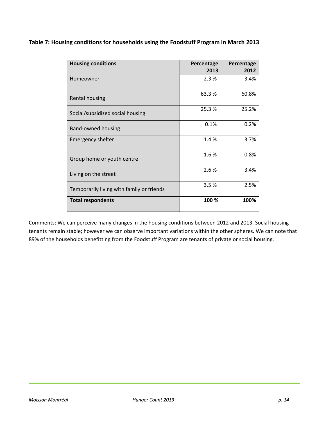| Table 7: Housing conditions for households using the Foodstuff Program in March 2013 |  |  |  |
|--------------------------------------------------------------------------------------|--|--|--|
|--------------------------------------------------------------------------------------|--|--|--|

| <b>Housing conditions</b>                 | Percentage<br>2013 | Percentage<br>2012 |
|-------------------------------------------|--------------------|--------------------|
| Homeowner                                 | 2.3%               | 3.4%               |
| <b>Rental housing</b>                     | 63.3%              | 60.8%              |
| Social/subsidized social housing          | 25.3%              | 25.2%              |
| Band-owned housing                        | 0.1%               | 0.2%               |
| <b>Emergency shelter</b>                  | 1.4 %              | 3.7%               |
| Group home or youth centre                | 1.6%               | 0.8%               |
| Living on the street                      | 2.6%               | 3.4%               |
| Temporarily living with family or friends | 3.5%               | 2.5%               |
| <b>Total respondents</b>                  | 100 %              | 100%               |

Comments: We can perceive many changes in the housing conditions between 2012 and 2013. Social housing tenants remain stable; however we can observe important variations within the other spheres. We can note that 89% of the households benefitting from the Foodstuff Program are tenants of private or social housing.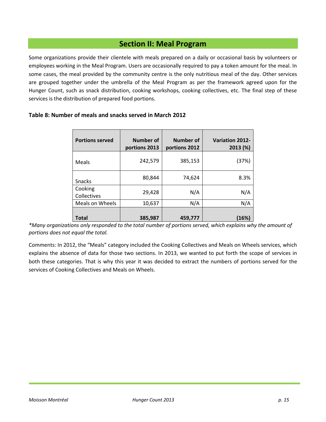# **Section II: Meal Program**

Some organizations provide their clientele with meals prepared on a daily or occasional basis by volunteers or employees working in the Meal Program. Users are occasionally required to pay a token amount for the meal. In some cases, the meal provided by the community centre is the only nutritious meal of the day. Other services are grouped together under the umbrella of the Meal Program as per the framework agreed upon for the Hunger Count, such as snack distribution, cooking workshops, cooking collectives, etc. The final step of these services is the distribution of prepared food portions.

| <b>Portions served</b> | Number of<br>portions 2013 | Number of<br>portions 2012 | <b>Variation 2012-</b><br>2013 (%) |
|------------------------|----------------------------|----------------------------|------------------------------------|
| Meals                  | 242,579                    | 385,153                    | (37%)                              |
| <b>Snacks</b>          | 80,844                     | 74,624                     | 8.3%                               |
| Cooking<br>Collectives | 29,428                     | N/A                        | N/A                                |
| Meals on Wheels        | 10,637                     | N/A                        | N/A                                |
|                        |                            |                            |                                    |
| Total                  | 385,987                    | 459,777                    | (16%)                              |

#### **Table 8: Number of meals and snacks served in March 2012**

*\*Many organizations only responded to the total number of portions served, which explains why the amount of portions does not equal the total.*

Comments: In 2012, the "Meals" category included the Cooking Collectives and Meals on Wheels services, which explains the absence of data for those two sections. In 2013, we wanted to put forth the scope of services in both these categories. That is why this year it was decided to extract the numbers of portions served for the services of Cooking Collectives and Meals on Wheels.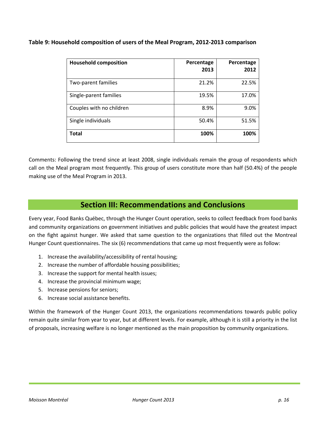**Table 9: Household composition of users of the Meal Program, 2012-2013 comparison**

| <b>Household composition</b> | Percentage<br>2013 | Percentage<br>2012 |
|------------------------------|--------------------|--------------------|
| Two-parent families          | 21.2%              | 22.5%              |
| Single-parent families       | 19.5%              | 17.0%              |
| Couples with no children     | 8.9%               | 9.0%               |
| Single individuals           | 50.4%              | 51.5%              |
| <b>Total</b>                 | 100%               | 100%               |

Comments: Following the trend since at least 2008, single individuals remain the group of respondents which call on the Meal program most frequently. This group of users constitute more than half (50.4%) of the people making use of the Meal Program in 2013.

# **Section III: Recommendations and Conclusions**

Every year, Food Banks Québec, through the Hunger Count operation, seeks to collect feedback from food banks and community organizations on government initiatives and public policies that would have the greatest impact on the fight against hunger. We asked that same question to the organizations that filled out the Montreal Hunger Count questionnaires. The six (6) recommendations that came up most frequently were as follow:

- 1. Increase the availability/accessibility of rental housing;
- 2. Increase the number of affordable housing possibilities;
- 3. Increase the support for mental health issues;
- 4. Increase the provincial minimum wage;
- 5. Increase pensions for seniors;
- 6. Increase social assistance benefits.

Within the framework of the Hunger Count 2013, the organizations recommendations towards public policy remain quite similar from year to year, but at different levels. For example, although it is still a priority in the list of proposals, increasing welfare is no longer mentioned as the main proposition by community organizations.